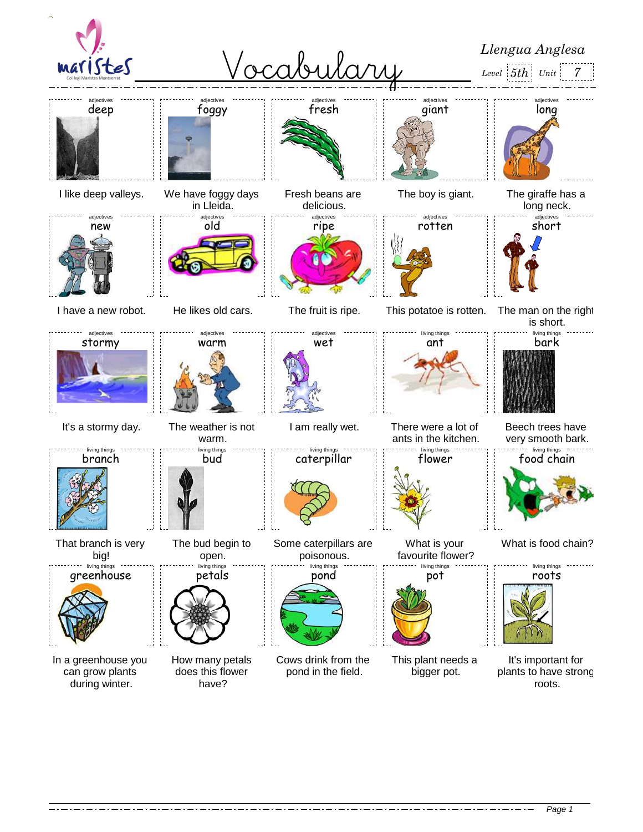

Page 1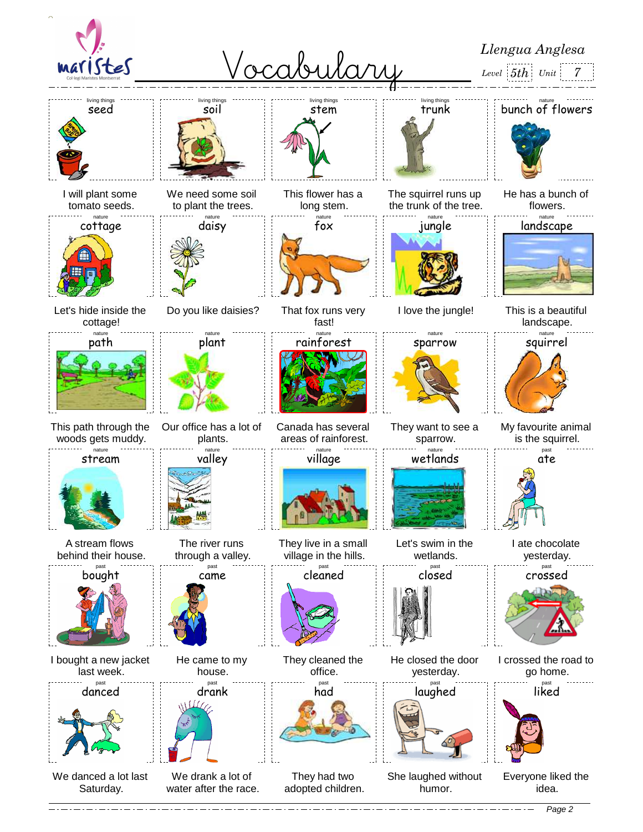

Page 2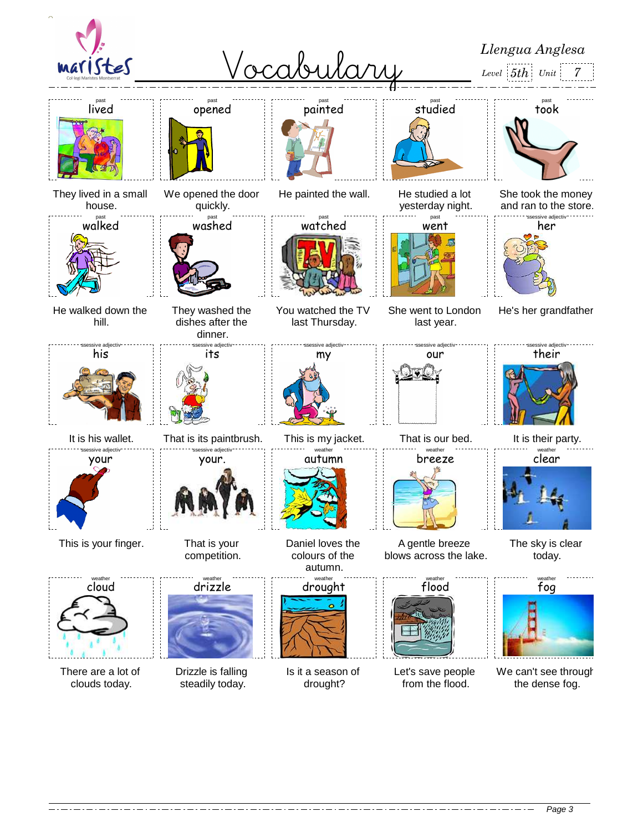